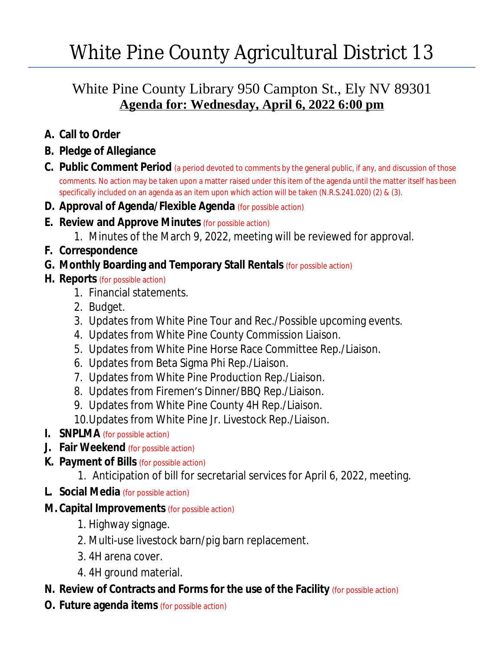# White Pine County Agricultural District 13

### White Pine County Library 950 Campton St., Ely NV 89301 **Agenda for: Wednesday, April 6, 2022 6:00 pm**

- **A. Call to Order**
- **B. Pledge of Allegiance**
- **C. Public Comment Period** (a period devoted to comments by the general public, if any, and discussion of those comments. No action may be taken upon a matter raised under this item of the agenda until the matter itself has been specifically included on an agenda as an item upon which action will be taken (N.R.S.241.020) (2) & (3).
- **D. Approval of Agenda/Flexible Agenda** (for possible action)
- **E. Review and Approve Minutes** (for possible action)
	- 1. Minutes of the March 9, 2022, meeting will be reviewed for approval.
- **F. Correspondence**
- **G. Monthly Boarding and Temporary Stall Rentals** (for possible action)
- **H. Reports** (for possible action)
	- 1. Financial statements.
	- 2. Budget.
	- 3. Updates from White Pine Tour and Rec./Possible upcoming events.
	- 4. Updates from White Pine County Commission Liaison.
	- 5. Updates from White Pine Horse Race Committee Rep./Liaison.
	- 6. Updates from Beta Sigma Phi Rep./Liaison.
	- 7. Updates from White Pine Production Rep./Liaison.
	- 8. Updates from Firemen's Dinner/BBQ Rep./Liaison.
	- 9. Updates from White Pine County 4H Rep./Liaison.
	- 10.Updates from White Pine Jr. Livestock Rep./Liaison.
- **I. SNPLMA** (for possible action)
- **J. Fair Weekend** (for possible action)
- **K. Payment of Bills** (for possible action)
	- 1. Anticipation of bill for secretarial services for April 6, 2022, meeting.
- **L. Social Media** (for possible action)
- **M. Capital Improvements** (for possible action)
	- 1. Highway signage.
	- 2. Multi-use livestock barn/pig barn replacement.
	- 3. 4H arena cover.
	- 4. 4H ground material.
- **N. Review of Contracts and Forms for the use of the Facility** (for possible action)
- **O. Future agenda items** (for possible action)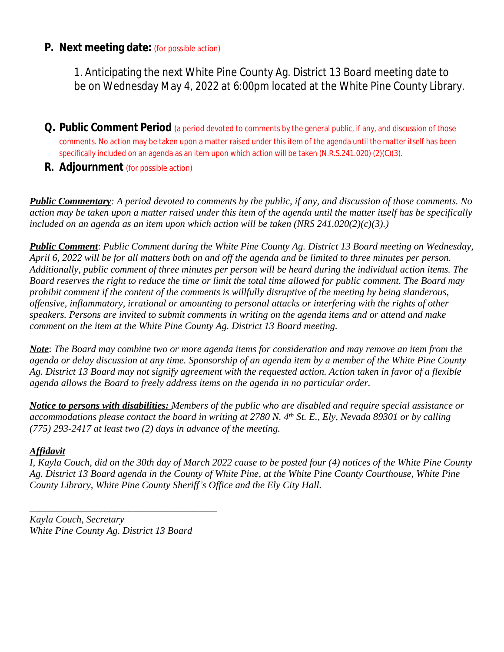#### **P. Next meeting date:** (for possible action)

1. Anticipating the next White Pine County Ag. District 13 Board meeting date to be on Wednesday May 4, 2022 at 6:00pm located at the White Pine County Library.

- **Q. Public Comment Period** (a period devoted to comments by the general public, if any, and discussion of those comments. No action may be taken upon a matter raised under this item of the agenda until the matter itself has been specifically included on an agenda as an item upon which action will be taken (N.R.S.241.020) (2)(C)(3).
- **R. Adjournment** (for possible action)

*Public Commentary: A period devoted to comments by the public, if any, and discussion of those comments. No action may be taken upon a matter raised under this item of the agenda until the matter itself has be specifically included on an agenda as an item upon which action will be taken (NRS 241.020(2)(c)(3).)*

*Public Comment*: *Public Comment during the White Pine County Ag. District 13 Board meeting on Wednesday, April 6, 2022 will be for all matters both on and off the agenda and be limited to three minutes per person. Additionally, public comment of three minutes per person will be heard during the individual action items. The Board reserves the right to reduce the time or limit the total time allowed for public comment. The Board may prohibit comment if the content of the comments is willfully disruptive of the meeting by being slanderous, offensive, inflammatory, irrational or amounting to personal attacks or interfering with the rights of other speakers. Persons are invited to submit comments in writing on the agenda items and or attend and make comment on the item at the White Pine County Ag. District 13 Board meeting.*

*Note*: *The Board may combine two or more agenda items for consideration and may remove an item from the agenda or delay discussion at any time. Sponsorship of an agenda item by a member of the White Pine County Ag. District 13 Board may not signify agreement with the requested action. Action taken in favor of a flexible agenda allows the Board to freely address items on the agenda in no particular order.*

*Notice to persons with disabilities: Members of the public who are disabled and require special assistance or accommodations please contact the board in writing at 2780 N. 4th St. E., Ely, Nevada 89301 or by calling (775) 293-2417 at least two (2) days in advance of the meeting.*

#### *Affidavit*

*I, Kayla Couch, did on the 30th day of March 2022 cause to be posted four (4) notices of the White Pine County Ag. District 13 Board agenda in the County of White Pine, at the White Pine County Courthouse, White Pine County Library, White Pine County Sheriff's Office and the Ely City Hall.*

*Kayla Couch, Secretary White Pine County Ag. District 13 Board*

*\_\_\_\_\_\_\_\_\_\_\_\_\_\_\_\_\_\_\_\_\_\_\_\_\_\_\_\_\_\_\_\_\_\_\_\_\_\_*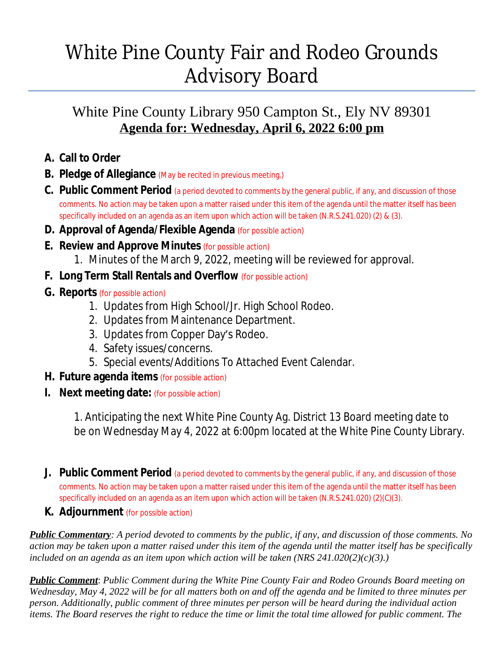## White Pine County Fair and Rodeo Grounds Advisory Board

### White Pine County Library 950 Campton St., Ely NV 89301 **Agenda for: Wednesday, April 6, 2022 6:00 pm**

- **A. Call to Order**
- **B. Pledge of Allegiance** (May be recited in previous meeting.)
- **C. Public Comment Period** (a period devoted to comments by the general public, if any, and discussion of those comments. No action may be taken upon a matter raised under this item of the agenda until the matter itself has been specifically included on an agenda as an item upon which action will be taken (N.R.S.241.020) (2) & (3).
- **D. Approval of Agenda/Flexible Agenda** (for possible action)
- **E. Review and Approve Minutes** (for possible action)
	- 1. Minutes of the March 9, 2022, meeting will be reviewed for approval.
- **F. Long Term Stall Rentals and Overflow** (for possible action)
- **G. Reports** (for possible action)
	- 1. Updates from High School/Jr. High School Rodeo.
	- 2. Updates from Maintenance Department.
	- 3. Updates from Copper Day's Rodeo.
	- 4. Safety issues/concerns.
	- 5. Special events/Additions To Attached Event Calendar.
- **H. Future agenda items** (for possible action)
- **I. Next meeting date:** (for possible action)

1. Anticipating the next White Pine County Ag. District 13 Board meeting date to be on Wednesday May 4, 2022 at 6:00pm located at the White Pine County Library.

- **J. Public Comment Period** (a period devoted to comments by the general public, if any, and discussion of those comments. No action may be taken upon a matter raised under this item of the agenda until the matter itself has been specifically included on an agenda as an item upon which action will be taken (N.R.S.241.020) (2)(C)(3).
- **K. Adjournment** (for possible action)

*Public Commentary: A period devoted to comments by the public, if any, and discussion of those comments. No action may be taken upon a matter raised under this item of the agenda until the matter itself has be specifically included on an agenda as an item upon which action will be taken (NRS 241.020(2)(c)(3).)*

*Public Comment*: *Public Comment during the White Pine County Fair and Rodeo Grounds Board meeting on Wednesday, May 4, 2022 will be for all matters both on and off the agenda and be limited to three minutes per person. Additionally, public comment of three minutes per person will be heard during the individual action items. The Board reserves the right to reduce the time or limit the total time allowed for public comment. The*